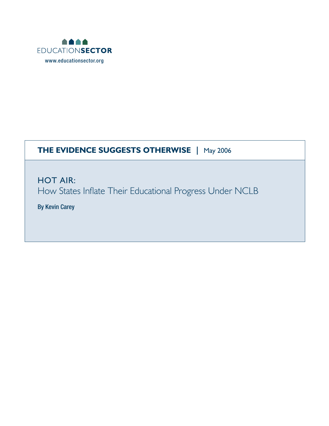

## **THE EVIDENCE SUGGESTS OTHERWISE |** May 2006

HOT AIR: How States Inflate Their Educational Progress Under NCLB

By Kevin Carey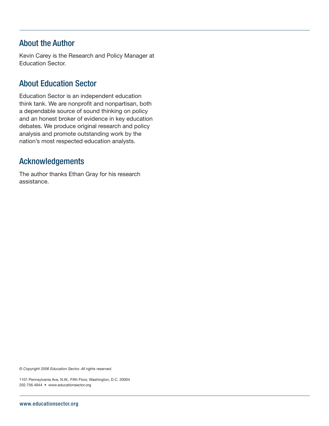### About the Author

Kevin Carey is the Research and Policy Manager at Education Sector.

### About Education Sector

Education Sector is an independent education think tank. We are nonprofit and nonpartisan, both a dependable source of sound thinking on policy and an honest broker of evidence in key education debates. We produce original research and policy analysis and promote outstanding work by the nation's most respected education analysts.

#### Acknowledgements

The author thanks Ethan Gray for his research assistance.

*© Copyright 2006 Education Sector. All rights reserved.*

1101 Pennsylvania Ave, N.W., Fifth Floor, Washington, D.C. 20004 202.756.4944 • www.educationsector.org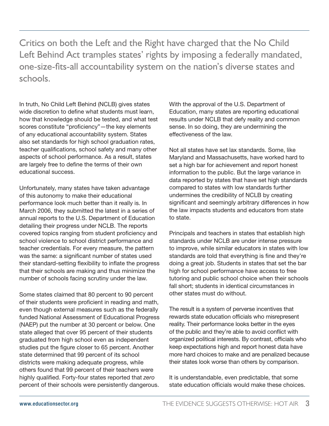Critics on both the Left and the Right have charged that the No Child Left Behind Act tramples states' rights by imposing a federally mandated, one-size-fits-all accountability system on the nation's diverse states and schools.

In truth, No Child Left Behind (NCLB) gives states wide discretion to define what students must learn, how that knowledge should be tested, and what test scores constitute "proficiency"—the key elements of any educational accountability system. States also set standards for high school graduation rates, teacher qualifications, school safety and many other aspects of school performance. As a result, states are largely free to define the terms of their own educational success.

Unfortunately, many states have taken advantage of this autonomy to make their educational performance look much better than it really is. In March 2006, they submitted the latest in a series of annual reports to the U.S. Department of Education detailing their progress under NCLB. The reports covered topics ranging from student proficiency and school violence to school district performance and teacher credentials. For every measure, the pattern was the same: a significant number of states used their standard-setting flexibility to inflate the progress that their schools are making and thus minimize the number of schools facing scrutiny under the law.

Some states claimed that 80 percent to 90 percent of their students were proficient in reading and math, even though external measures such as the federally funded National Assessment of Educational Progress (NAEP) put the number at 30 percent or below. One state alleged that over 95 percent of their students graduated from high school even as independent studies put the figure closer to 65 percent. Another state determined that 99 percent of its school districts were making adequate progress, while others found that 99 percent of their teachers were highly qualified. Forty-four states reported that *zero* percent of their schools were persistently dangerous.

With the approval of the U.S. Department of Education, many states are reporting educational results under NCLB that defy reality and common sense. In so doing, they are undermining the effectiveness of the law.

Not all states have set lax standards. Some, like Maryland and Massachusetts, have worked hard to set a high bar for achievement and report honest information to the public. But the large variance in data reported by states that have set high standards compared to states with low standards further undermines the credibility of NCLB by creating significant and seemingly arbitrary differences in how the law impacts students and educators from state to state.

Principals and teachers in states that establish high standards under NCLB are under intense pressure to improve, while similar educators in states with low standards are told that everything is fine and they're doing a great job. Students in states that set the bar high for school performance have access to free tutoring and public school choice when their schools fall short; students in identical circumstances in other states must do without.

The result is a system of perverse incentives that rewards state education officials who misrepresent reality. Their performance looks better in the eyes of the public and they're able to avoid conflict with organized political interests. By contrast, officials who keep expectations high and report honest data have more hard choices to make and are penalized because their states look worse than others by comparison.

It is understandable, even predictable, that some state education officials would make these choices.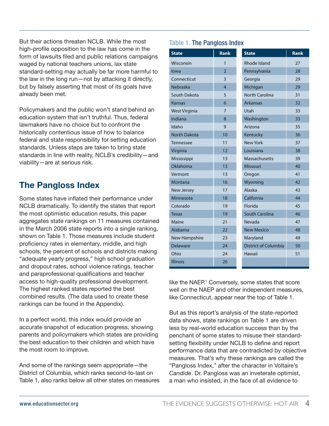But their actions threaten NCLB. While the most high-profile opposition to the law has come in the form of lawsuits filed and public relations campaigns waged by national teachers unions, lax state standard-setting may actually be far more harmful to the law in the long run—not by attacking it directly, but by falsely asserting that most of its goals have already been met.

Policymakers and the public won't stand behind an education system that isn't truthful. Thus, federal lawmakers have no choice but to confront the historically contentious issue of how to balance federal and state responsibility for setting education standards. Unless steps are taken to bring state standards in line with reality, NCLB's credibility—and viability—are at serious risk.

## **The Pangloss Index**

Some states have inflated their performance under NCLB dramatically. To identify the states that report the most optimistic education results, this paper aggregates state rankings on 11 measures contained in the March 2006 state reports into a single ranking, shown on Table 1. Those measures include student proficiency rates in elementary, middle, and high schools, the percent of schools and districts making "adequate yearly progress," high school graduation and dropout rates, school violence ratings, teacher and paraprofessional qualifications and teacher access to high-quality professional development. The highest ranked states reported the best combined results. (The data used to create these rankings can be found in the Appendix).

In a perfect world, this index would provide an accurate snapshot of education progress, showing parents and policymakers which states are providing the best education to their children and which have the most room to improve.

And some of the rankings seem appropriate—the District of Columbia, which ranks second-to-last on Table 1, also ranks below all other states on measures

#### **Table 1.** The Pangloss Index

| <b>State</b>         | <b>Rank</b>    | <b>State</b>                | <b>Rank</b> |
|----------------------|----------------|-----------------------------|-------------|
| Wisconsin            | 1              | Rhode Island                | 27          |
| lowa                 | $\overline{2}$ | Pennsylvania                | 28          |
| Connecticut          | $\overline{3}$ | Georgia                     | 29          |
| Nebraska             | 4              | Michigan                    | 29          |
| South Dakota         | 5              | <b>North Carolina</b>       | 31          |
| <b>Kansas</b>        | 6              | <b>Arkansas</b>             | 32          |
| <b>West Virginia</b> | $\overline{7}$ | Utah                        | 33          |
| Indiana              | 8              | Washington                  | 33          |
| Idaho                | 9              | Arizona                     | 35          |
| <b>North Dakota</b>  | 10             | Kentucky                    | 36          |
| Tennessee            | 11             | New York                    | 37          |
| Virginia             | 12             | Louisiana                   | 38          |
| Mississippi          | 13             | Massachusetts               | 39          |
| Oklahoma             | 13             | Missouri                    | 40          |
| Vermont              | 13             | Oregon                      | 41          |
| Montana              | 16             | Wyoming                     | 42          |
| <b>New Jersey</b>    | 17             | Alaska                      | 43          |
| Minnesota            | 18             | California                  | 44          |
| Colorado             | 19             | Florida                     | 45          |
| <b>Texas</b>         | 19             | South Carolina              | 46          |
| Maine                | 21             | Nevada                      | 47          |
| Alabama              | 22             | <b>New Mexico</b>           | 48          |
| <b>New Hampshire</b> | 23             | Maryland                    | 49          |
| <b>Delaware</b>      | 24             | <b>District of Columbia</b> | 50          |
| Ohio                 | 24             | Hawaii                      | 51          |
| <b>Illinois</b>      | 26             |                             |             |

like the NAEP.<sup>1</sup> Conversely, some states that score well on the NAEP and other independent measures, like Connecticut, appear near the top of Table 1.

But as this report's analysis of the state-reported data shows, state rankings on Table 1 are driven less by real-world education success than by the penchant of some states to misuse their standardsetting flexibility under NCLB to define and report performance data that are contradicted by objective measures. That's why these rankings are called the "Pangloss Index," after the character in Voltaire's *Candide*. Dr. Pangloss was an inveterate optimist, a man who insisted, in the face of all evidence to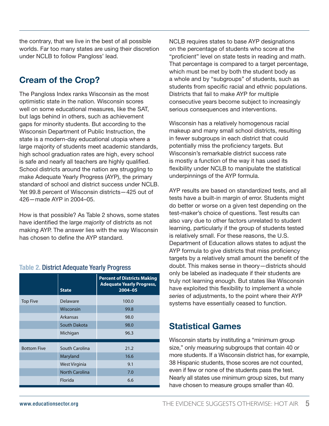the contrary, that we live in the best of all possible worlds. Far too many states are using their discretion under NCLB to follow Pangloss' lead.

## **Cream of the Crop?**

The Pangloss Index ranks Wisconsin as the most optimistic state in the nation. Wisconsin scores well on some educational measures, like the SAT, but lags behind in others, such as achievement gaps for minority students. But according to the Wisconsin Department of Public Instruction, the state is a modern-day educational utopia where a large majority of students meet academic standards, high school graduation rates are high, every school is safe and nearly all teachers are highly qualified. School districts around the nation are struggling to make Adequate Yearly Progress (AYP), the primary standard of school and district success under NCLB. Yet 99.8 percent of Wisconsin districts—425 out of 426—made AYP in 2004–05.

How is that possible? As Table 2 shows, some states have identified the large *majority* of districts as not making AYP. The answer lies with the way Wisconsin has chosen to define the AYP standard.

#### **Table 2.** District Adequate Yearly Progress

|                    | <b>State</b>          | <b>Percent of Districts Making</b><br><b>Adequate Yearly Progress,</b><br>2004-05 |
|--------------------|-----------------------|-----------------------------------------------------------------------------------|
| <b>Top Five</b>    | Delaware              | 100.0                                                                             |
|                    | Wisconsin             | 99.8                                                                              |
|                    | Arkansas              | 98.0                                                                              |
|                    | South Dakota          | 98.0                                                                              |
|                    | Michigan              | 96.3                                                                              |
| <b>Bottom Five</b> | South Carolina        | 21.2                                                                              |
|                    | Maryland              | 16.6                                                                              |
|                    | <b>West Virginia</b>  | 9.1                                                                               |
|                    | <b>North Carolina</b> | 7.0                                                                               |
|                    | Florida               | 6.6                                                                               |

NCLB requires states to base AYP designations on the percentage of students who score at the "proficient" level on state tests in reading and math. That percentage is compared to a target percentage, which must be met by both the student body as a whole and by "subgroups" of students, such as students from specific racial and ethnic populations. Districts that fail to make AYP for multiple consecutive years become subject to increasingly serious consequences and interventions.

Wisconsin has a relatively homogenous racial makeup and many small school districts, resulting in fewer subgroups in each district that could potentially miss the proficiency targets. But Wisconsin's remarkable district success rate is mostly a function of the way it has used its flexibility under NCLB to manipulate the statistical underpinnings of the AYP formula.

AYP results are based on standardized tests, and all tests have a built-in margin of error. Students might do better or worse on a given test depending on the test-maker's choice of questions. Test results can also vary due to other factors unrelated to student learning, particularly if the group of students tested is relatively small. For these reasons, the U.S. Department of Education allows states to adjust the AYP formula to give districts that miss proficiency targets by a relatively small amount the benefit of the doubt. This makes sense in theory—districts should only be labeled as inadequate if their students are truly not learning enough. But states like Wisconsin have exploited this flexibility to implement a whole *series* of adjustments, to the point where their AYP systems have essentially ceased to function.

### **Statistical Games**

Wisconsin starts by instituting a "minimum group size," only measuring subgroups that contain 40 or more students. If a Wisconsin district has, for example, 38 Hispanic students, those scores are not counted, even if few or none of the students pass the test. Nearly all states use minimum group sizes, but many have chosen to measure groups smaller than 40.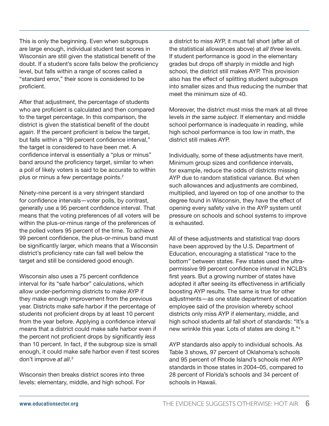This is only the beginning. Even when subgroups are large enough, individual student test scores in Wisconsin are still given the statistical benefit of the doubt. If a student's score falls below the proficiency level, but falls within a range of scores called a "standard error," their score is considered to be proficient.

After that adjustment, the percentage of students who are proficient is calculated and then compared to the target percentage. In this comparison, the district is given the statistical benefit of the doubt *again*. If the percent proficient is below the target, but falls within a "99 percent confidence interval," the target is considered to have been met. A confidence interval is essentially a "plus or minus" band around the proficiency target, similar to when a poll of likely voters is said to be accurate to within plus or minus a few percentage points.<sup>2</sup>

Ninety-nine percent is a very stringent standard for confidence intervals—voter polls, by contrast, generally use a 95 percent confidence interval. That means that the voting preferences of all voters will be within the plus-or-minus range of the preferences of the polled voters 95 percent of the time. To achieve 99 percent confidence, the plus-or-minus band must be significantly larger, which means that a Wisconsin district's proficiency rate can fall well below the target and still be considered good enough.

Wisconsin also uses a 75 percent confidence interval for its "safe harbor" calculations, which allow under-performing districts to make AYP if they make enough improvement from the previous year. Districts make safe harbor if the percentage of students not proficient drops by at least 10 percent from the year before. Applying a confidence interval means that a district could make safe harbor even if the percent not proficient drops by significantly *less* than 10 percent. In fact, if the subgroup size is small enough, it could make safe harbor even if test scores don't improve *at all*. 3

Wisconsin then breaks district scores into three levels: elementary, middle, and high school. For a district to miss AYP, it must fall short (after all of the statistical allowances above) at *all three* levels. If student performance is good in the elementary grades but drops off sharply in middle and high school, the district still makes AYP. This provision also has the effect of splitting student subgroups into smaller sizes and thus reducing the number that meet the minimum size of 40.

Moreover, the district must miss the mark at all three levels *in the same subject*. If elementary and middle school performance is inadequate in reading, while high school performance is too low in math, the district still makes AYP.

Individually, some of these adjustments have merit. Minimum group sizes and confidence intervals, for example, reduce the odds of districts missing AYP due to random statistical variance. But when such allowances and adjustments are combined, multiplied, and layered on top of one another to the degree found in Wisconsin, they have the effect of opening every safety valve in the AYP system until pressure on schools and school systems to improve is exhausted.

All of these adjustments and statistical trap doors have been approved by the U.S. Department of Education, encouraging a statistical "race to the bottom" between states. Few states used the ultrapermissive 99 percent confidence interval in NCLB's first years. But a growing number of states have adopted it after seeing its effectiveness in artificially boosting AYP results. The same is true for other adjustments—as one state department of education employee said of the provision whereby school districts only miss AYP if elementary, middle, and high school students *all* fall short of standards: "It's a new wrinkle this year. Lots of states are doing it."4

AYP standards also apply to individual schools. As Table 3 shows, 97 percent of Oklahoma's schools and 95 percent of Rhode Island's schools met AYP standards in those states in 2004–05, compared to 28 percent of Florida's schools and 34 percent of schools in Hawaii.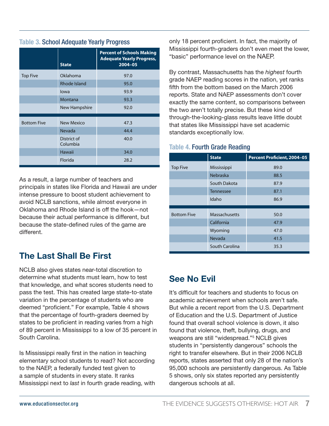#### **Table 3.** School Adequate Yearly Progress

|                    | <b>State</b>            | <b>Percent of Schools Making</b><br><b>Adequate Yearly Progress,</b><br>$2004 - 05$ |
|--------------------|-------------------------|-------------------------------------------------------------------------------------|
| <b>Top Five</b>    | Oklahoma                | 97.0                                                                                |
|                    | <b>Rhode Island</b>     | 95.0                                                                                |
|                    | lowa                    | 93.9                                                                                |
|                    | Montana                 | 93.3                                                                                |
|                    | New Hampshire           | 92.0                                                                                |
|                    |                         |                                                                                     |
| <b>Bottom Five</b> | <b>New Mexico</b>       | 47.3                                                                                |
|                    | Nevada                  | 44.4                                                                                |
|                    | District of<br>Columbia | 40.0                                                                                |
|                    | Hawaii                  | 34.0                                                                                |
|                    | Florida                 | 28.2                                                                                |

As a result, a large number of teachers and principals in states like Florida and Hawaii are under intense pressure to boost student achievement to avoid NCLB sanctions, while almost everyone in Oklahoma and Rhode Island is off the hook—not because their actual performance is different, but because the state-defined rules of the game are different.

## **The Last Shall Be First**

NCLB also gives states near-total discretion to determine what students must learn, how to test that knowledge, and what scores students need to pass the test. This has created large state-to-state variation in the percentage of students who are deemed "proficient." For example, Table 4 shows that the percentage of fourth-graders deemed by states to be proficient in reading varies from a high of 89 percent in Mississippi to a low of 35 percent in South Carolina.

Is Mississippi really first in the nation in teaching elementary school students to read? Not according to the NAEP, a federally funded test given to a sample of students in every state. It ranks Mississippi next to *last* in fourth grade reading, with only 18 percent proficient. In fact, the majority of Mississippi fourth-graders don't even meet the lower, "basic" performance level on the NAEP.

By contrast, Massachusetts has the *highest* fourth grade NAEP reading scores in the nation, yet ranks fifth from the bottom based on the March 2006 reports. State and NAEP assessments don't cover exactly the same content, so comparisons between the two aren't totally precise. But these kind of through-the-looking-glass results leave little doubt that states like Mississippi have set academic standards exceptionally low.

#### **Table 4.** Fourth Grade Reading

|                    | <b>State</b>     | <b>Percent Proficient, 2004-05</b> |
|--------------------|------------------|------------------------------------|
| <b>Top Five</b>    | Mississippi      | 89.0                               |
|                    | <b>Nebraska</b>  | 88.5                               |
|                    | South Dakota     | 87.9                               |
|                    | <b>Tennessee</b> | 87.1                               |
|                    | Idaho            | 86.9                               |
|                    |                  |                                    |
| <b>Bottom Five</b> | Massachusetts    | 50.0                               |
|                    | California       | 47.9                               |
|                    | Wyoming          | 47.0                               |
|                    | Nevada           | 41.5                               |
|                    | South Carolina   | 35.3                               |

### **See No Evil**

It's difficult for teachers and students to focus on academic achievement when schools aren't safe. But while a recent report from the U.S. Department of Education and the U.S. Department of Justice found that overall school violence is down, it also found that violence, theft, bullying, drugs, and weapons are still "widespread."5 NCLB gives students in "persistently dangerous" schools the right to transfer elsewhere. But in their 2006 NCLB reports, states asserted that only 28 of the nation's 95,000 schools are persistently dangerous. As Table 5 shows, only six states reported any persistently dangerous schools at all.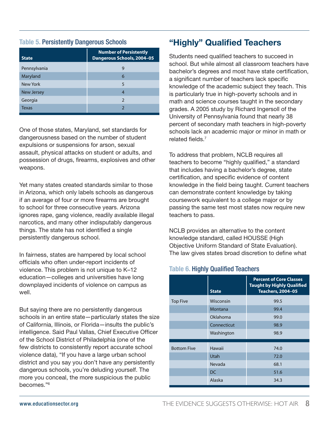#### **Table 5.** Persistently Dangerous Schools

| <b>State</b>      | <b>Number of Persistently</b><br>Dangerous Schools, 2004-05 |  |  |  |
|-------------------|-------------------------------------------------------------|--|--|--|
| Pennsylvania      | 9                                                           |  |  |  |
| Maryland          | 6                                                           |  |  |  |
| New York          | $\overline{5}$                                              |  |  |  |
| <b>New Jersey</b> | 4                                                           |  |  |  |
| Georgia           | $\mathcal{P}$                                               |  |  |  |
| Texas             |                                                             |  |  |  |

One of those states, Maryland, set standards for dangerousness based on the number of student expulsions or suspensions for arson, sexual assault, physical attacks on student or adults, and possession of drugs, firearms, explosives and other weapons.

Yet many states created standards similar to those in Arizona, which only labels schools as dangerous if an average of four or more firearms are brought to school for three consecutive years. Arizona ignores rape, gang violence, readily available illegal narcotics, and many other indisputably dangerous things. The state has not identified a single persistently dangerous school.

In fairness, states are hampered by local school officials who often under-report incidents of violence. This problem is not unique to K–12 education—colleges and universities have long downplayed incidents of violence on campus as well.

But saying there are no persistently dangerous schools in an entire state—particularly states the size of California, Illinois, or Florida—insults the public's intelligence. Said Paul Vallas, Chief Executive Officer of the School District of Philadelphia (one of the few districts to consistently report accurate school violence data), "If you have a large urban school district and you say you don't have any persistently dangerous schools, you're deluding yourself. The more you conceal, the more suspicious the public becomes."6

## **"Highly" Qualified Teachers**

Students need qualified teachers to succeed in school. But while almost all classroom teachers have bachelor's degrees and most have state certification, a significant number of teachers lack specific knowledge of the academic subject they teach. This is particularly true in high-poverty schools and in math and science courses taught in the secondary grades. A 2005 study by Richard Ingersoll of the University of Pennsylvania found that nearly 38 percent of secondary math teachers in high-poverty schools lack an academic major or minor in math or related fields.7

To address that problem, NCLB requires all teachers to become "highly qualified," a standard that includes having a bachelor's degree, state certification, and specific evidence of content knowledge in the field being taught. Current teachers can demonstrate content knowledge by taking coursework equivalent to a college major or by passing the same test most states now require new teachers to pass.

NCLB provides an alternative to the content knowledge standard, called HOUSSE (High Objective Uniform Standard of State Evaluation). The law gives states broad discretion to define what

#### **Table 6.** Highly Qualified Teachers

|                    | <b>State</b> | <b>Percent of Core Classes</b><br><b>Taught by Highly Qualified</b><br><b>Teachers, 2004-05</b> |
|--------------------|--------------|-------------------------------------------------------------------------------------------------|
| <b>Top Five</b>    | Wisconsin    | 99.5                                                                                            |
|                    | Montana      | 99.4                                                                                            |
|                    | Oklahoma     | 99.0                                                                                            |
|                    | Connecticut  | 98.9                                                                                            |
|                    | Washington   | 98.9                                                                                            |
|                    |              |                                                                                                 |
| <b>Bottom Five</b> | Hawaii       | 74.0                                                                                            |
|                    | Utah         | 72.0                                                                                            |
|                    | Nevada       | 68.1                                                                                            |
|                    | <b>DC</b>    | 51.6                                                                                            |
|                    | Alaska       | 34.3                                                                                            |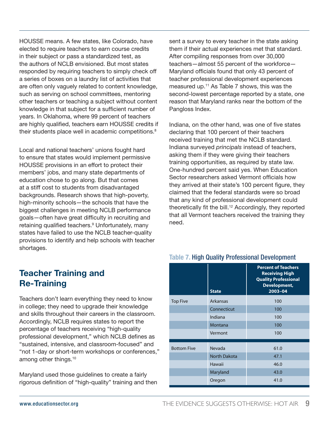HOUSSE means. A few states, like Colorado, have elected to require teachers to earn course credits in their subject or pass a standardized test, as the authors of NCLB envisioned. But most states responded by requiring teachers to simply check off a series of boxes on a laundry list of activities that are often only vaguely related to content knowledge, such as serving on school committees, mentoring other teachers or teaching a subject without content knowledge in that subject for a sufficient number of years. In Oklahoma, where 99 percent of teachers are highly qualified, teachers earn HOUSSE credits if their students place well in academic competitions.<sup>8</sup>

Local and national teachers' unions fought hard to ensure that states would implement permissive HOUSSE provisions in an effort to protect their members' jobs, and many state departments of education chose to go along. But that comes at a stiff cost to students from disadvantaged backgrounds. Research shows that high-poverty, high-minority schools—the schools that have the biggest challenges in meeting NCLB performance goals—often have great difficulty in recruiting and retaining qualified teachers.<sup>9</sup> Unfortunately, many states have failed to use the NCLB teacher-quality provisions to identify and help schools with teacher shortages.

## **Teacher Training and Re-Training**

Teachers don't learn everything they need to know in college; they need to upgrade their knowledge and skills throughout their careers in the classroom. Accordingly, NCLB requires states to report the percentage of teachers receiving "high-quality professional development," which NCLB defines as "sustained, intensive, and classroom-focused" and "not 1-day or short-term workshops or conferences," among other things.<sup>10</sup>

Maryland used those guidelines to create a fairly rigorous definition of "high-quality" training and then sent a survey to every teacher in the state asking them if their actual experiences met that standard. After compiling responses from over 30,000 teachers—almost 55 percent of the workforce— Maryland officials found that only 43 percent of teacher professional development experiences measured up.<sup>11</sup> As Table 7 shows, this was the second-lowest percentage reported by a state, one reason that Maryland ranks near the bottom of the Pangloss Index.

Indiana, on the other hand, was one of five states declaring that 100 percent of their teachers received training that met the NCLB standard. Indiana surveyed *principals* instead of teachers, asking them if they were giving their teachers training opportunities, as required by state law. One-hundred percent said yes. When Education Sector researchers asked Vermont officials how they arrived at their state's 100 percent figure, they claimed that the federal standards were so broad that any kind of professional development could theoretically fit the bill.<sup>12</sup> Accordingly, they reported that all Vermont teachers received the training they need.

|                    | <b>State</b>        | <b>Percent of Teachers</b><br><b>Receiving High</b><br><b>Quality Professional</b><br><b>Development,</b><br>2003-04 |
|--------------------|---------------------|----------------------------------------------------------------------------------------------------------------------|
| <b>Top Five</b>    | Arkansas            | 100                                                                                                                  |
|                    | Connecticut         | 100                                                                                                                  |
|                    | Indiana             | 100                                                                                                                  |
|                    | Montana             | 100                                                                                                                  |
|                    | Vermont             | 100                                                                                                                  |
| <b>Bottom Five</b> | Nevada              | 61.0                                                                                                                 |
|                    | <b>North Dakota</b> | 47.1                                                                                                                 |
|                    | Hawaii              | 46.0                                                                                                                 |
|                    | Maryland            | 43.0                                                                                                                 |
|                    | Oregon              | 41.0                                                                                                                 |

#### **Table 7.** High Quality Professional Development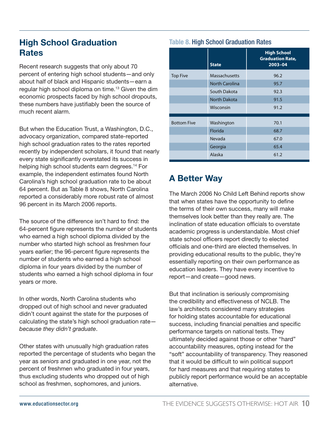## **High School Graduation Rates**

Recent research suggests that only about 70 percent of entering high school students—and only about half of black and Hispanic students—earn a regular high school diploma on time.<sup>13</sup> Given the dim economic prospects faced by high school dropouts, these numbers have justifiably been the source of much recent alarm.

But when the Education Trust, a Washington, D.C., advocacy organization, compared state-reported high school graduation rates to the rates reported recently by independent scholars, it found that nearly every state significantly overstated its success in helping high school students earn degrees.<sup>14</sup> For example, the independent estimates found North Carolina's high school graduation rate to be about 64 percent. But as Table 8 shows, North Carolina reported a considerably more robust rate of almost 96 percent in its March 2006 reports.

The source of the difference isn't hard to find: the 64-percent figure represents the number of students who earned a high school diploma divided by the number who started high school as freshmen four years earlier; the 96-percent figure represents the number of students who earned a high school diploma in four years divided by the number of students who earned a high school diploma in four years or more.

In other words, North Carolina students who dropped out of high school and never graduated didn't count against the state for the purposes of calculating the state's high school graduation rate *because they didn't graduate*.

Other states with unusually high graduation rates reported the percentage of students who began the year as *seniors* and graduated in one year, not the percent of freshmen who graduated in four years, thus excluding students who dropped out of high school as freshmen, sophomores, and juniors.

#### **Table 8.** High School Graduation Rates

|                    | <b>State</b>          | <b>High School</b><br><b>Graduation Rate,</b><br>2003-04 |
|--------------------|-----------------------|----------------------------------------------------------|
| <b>Top Five</b>    | Massachusetts         | 96.2                                                     |
|                    | <b>North Carolina</b> | 95.7                                                     |
|                    | South Dakota          | 92.3                                                     |
|                    | <b>North Dakota</b>   | 91.5                                                     |
|                    | Wisconsin             | 91.2                                                     |
| <b>Bottom Five</b> | Washington            | 70.1                                                     |
|                    | Florida               | 68.7                                                     |
|                    | Nevada                | 67.0                                                     |
|                    | Georgia               | 65.4                                                     |
|                    | Alaska                | 61.2                                                     |

## **A Better Way**

The March 2006 No Child Left Behind reports show that when states have the opportunity to define the terms of their own success, many will make themselves look better than they really are. The inclination of state education officials to overstate academic progress is understandable. Most chief state school officers report directly to elected officials and one-third are elected themselves. In providing educational results to the public, they're essentially reporting on their own performance as education leaders. They have every incentive to report—and create—good news.

But that inclination is seriously compromising the credibility and effectiveness of NCLB. The law's architects considered many strategies for holding states accountable for educational success, including financial penalties and specific performance targets on national tests. They ultimately decided against those or other "hard" accountability measures, opting instead for the "soft" accountability of transparency. They reasoned that it would be difficult to win political support for hard measures and that requiring states to publicly report performance would be an acceptable alternative.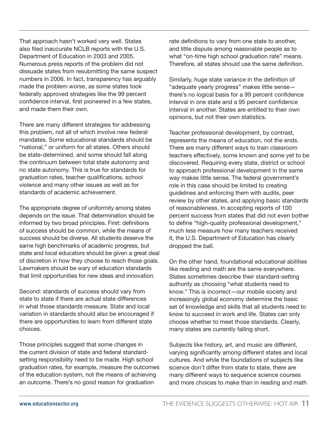That approach hasn't worked very well. States also filed inaccurate NCLB reports with the U.S. Department of Education in 2003 and 2005. Numerous press reports of the problem did not dissuade states from resubmitting the same suspect numbers in 2006. In fact, transparency has arguably made the problem *worse*, as some states took federally approved strategies like the 99 percent confidence interval, first pioneered in a few states, and made them their own.

There are many different strategies for addressing this problem, not all of which involve new federal mandates. Some educational standards should be "national," or uniform for all states. Others should be state-determined, and some should fall along the continuum between total state autonomy and no state autonomy. This is true for standards for graduation rates, teacher qualifications, school violence and many other issues as well as for standards of academic achievement.

The appropriate degree of uniformity among states depends on the issue. That determination should be informed by two broad principles. First: definitions of success should be common, while the means of success should be diverse. All students deserve the same high benchmarks of academic progress, but state and local educators should be given a great deal of discretion in how they choose to reach those goals. Lawmakers should be wary of education standards that limit opportunities for new ideas and innovation.

Second: standards of success should vary from state to state if there are actual state differences in what those standards measure. State and local variation in standards should also be encouraged if there are opportunities to learn from different state choices.

Those principles suggest that some changes in the current division of state and federal standardsetting responsibility need to be made. High school graduation rates, for example, measure the outcomes of the education system, not the means of achieving an outcome. There's no good reason for graduation

rate definitions to vary from one state to another, and little dispute among reasonable people as to what "on-time high school graduation rate" means. Therefore, all states should use the same definition.

Similarly, huge state variance in the definition of "adequate yearly progress" makes little sense there's no logical basis for a 99 percent confidence interval in one state and a 95 percent confidence interval in another. States are entitled to their own opinions, but not their own statistics.

Teacher professional development, by contrast, represents the means of education, not the ends. There are many different ways to train classroom teachers effectively, some known and some yet to be discovered. Requiring every state, district or school to approach professional development in the same way makes little sense. The federal government's role in this case should be limited to creating guidelines and enforcing them with audits, peer review by other states, and applying basic standards of reasonableness. In accepting reports of 100 percent success from states that did not even bother to define "high-quality professional development," much less measure how many teachers received it, the U.S. Department of Education has clearly dropped the ball.

On the other hand, foundational educational abilities like reading and math are the same everywhere. States sometimes describe their standard-setting authority as choosing "what students need to know." This is incorrect—our mobile society and increasingly global economy determine the basic set of knowledge and skills that all students need to know to succeed in work and life. States can only choose whether to meet those standards. Clearly, many states are currently falling short.

Subjects like history, art, and music are different, varying significantly among different states and local cultures. And while the foundations of subjects like science don't differ from state to state, there are many different ways to sequence science courses and more choices to make than in reading and math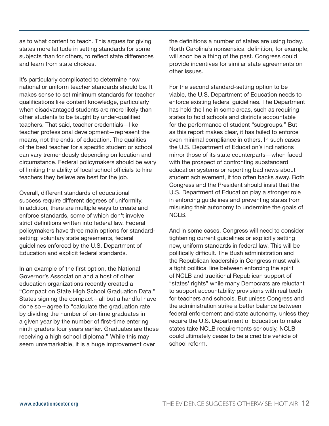as to what content to teach. This argues for giving states more latitude in setting standards for some subjects than for others, to reflect state differences and learn from state choices.

It's particularly complicated to determine how national or uniform teacher standards should be. It makes sense to set minimum standards for teacher qualifications like content knowledge, particularly when disadvantaged students are more likely than other students to be taught by under-qualified teachers. That said, teacher credentials—like teacher professional development—represent the means, not the ends, of education. The qualities of the best teacher for a specific student or school can vary tremendously depending on location and circumstance. Federal policymakers should be wary of limiting the ability of local school officials to hire teachers they believe are best for the job.

Overall, different standards of educational success require different degrees of uniformity. In addition, there are multiple ways to create and enforce standards, some of which don't involve strict definitions written into federal law. Federal policymakers have three main options for standardsetting: voluntary state agreements, federal guidelines enforced by the U.S. Department of Education and explicit federal standards.

In an example of the first option, the National Governor's Association and a host of other education organizations recently created a "Compact on State High School Graduation Data." States signing the compact—all but a handful have done so—agree to "calculate the graduation rate by dividing the number of on-time graduates in a given year by the number of first-time entering ninth graders four years earlier. Graduates are those receiving a high school diploma." While this may seem unremarkable, it is a huge improvement over

the definitions a number of states are using today. North Carolina's nonsensical definition, for example, will soon be a thing of the past. Congress could provide incentives for similar state agreements on other issues.

For the second standard-setting option to be viable, the U.S. Department of Education needs to enforce existing federal guidelines. The Department has held the line in some areas, such as requiring states to hold schools and districts accountable for the performance of student "subgroups." But as this report makes clear, it has failed to enforce even minimal compliance in others. In such cases the U.S. Department of Education's inclinations mirror those of its state counterparts—when faced with the prospect of confronting substandard education systems or reporting bad news about student achievement, it too often backs away. Both Congress and the President should insist that the U.S. Department of Education play a stronger role in enforcing guidelines and preventing states from misusing their autonomy to undermine the goals of NCLB.

And in some cases, Congress will need to consider tightening current guidelines or explicitly setting new, uniform standards in federal law. This will be politically difficult. The Bush administration and the Republican leadership in Congress must walk a tight political line between enforcing the spirit of NCLB and traditional Republican support of "states' rights" while many Democrats are reluctant to support accountability provisions with real teeth for teachers and schools. But unless Congress and the administration strike a better balance between federal enforcement and state autonomy, unless they require the U.S. Department of Education to make states take NCLB requirements seriously, NCLB could ultimately cease to be a credible vehicle of school reform.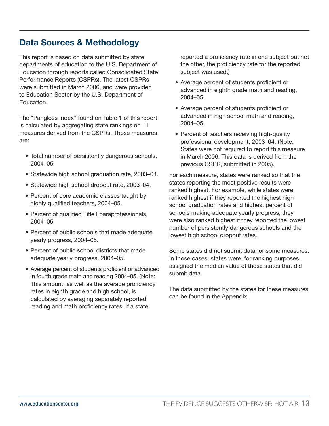## **Data Sources & Methodology**

This report is based on data submitted by state departments of education to the U.S. Department of Education through reports called Consolidated State Performance Reports (CSPRs). The latest CSPRs were submitted in March 2006, and were provided to Education Sector by the U.S. Department of Education.

The "Pangloss Index" found on Table 1 of this report is calculated by aggregating state rankings on 11 measures derived from the CSPRs. Those measures are:

- Total number of persistently dangerous schools, 2004–05.
- Statewide high school graduation rate, 2003–04.
- Statewide high school dropout rate, 2003–04.
- Percent of core academic classes taught by highly qualified teachers, 2004–05.
- Percent of qualified Title I paraprofessionals, 2004–05.
- Percent of public schools that made adequate yearly progress, 2004–05.
- Percent of public school districts that made adequate yearly progress, 2004–05.
- Average percent of students proficient or advanced in fourth grade math and reading 2004–05. (Note: This amount, as well as the average proficiency rates in eighth grade and high school, is calculated by averaging separately reported reading and math proficiency rates. If a state

reported a proficiency rate in one subject but not the other, the proficiency rate for the reported subject was used.)

- Average percent of students proficient or advanced in eighth grade math and reading, 2004–05.
- Average percent of students proficient or advanced in high school math and reading, 2004–05.
- Percent of teachers receiving high-quality professional development, 2003–04. (Note: States were not required to report this measure in March 2006. This data is derived from the previous CSPR, submitted in 2005).

For each measure, states were ranked so that the states reporting the most positive results were ranked highest. For example, while states were ranked highest if they reported the highest high school graduation rates and highest percent of schools making adequate yearly progress, they were also ranked highest if they reported the lowest number of persistently dangerous schools and the lowest high school dropout rates.

Some states did not submit data for some measures. In those cases, states were, for ranking purposes, assigned the median value of those states that did submit data.

The data submitted by the states for these measures can be found in the Appendix.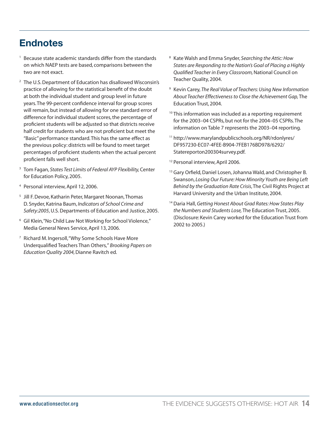## **Endnotes**

- <sup>1</sup> Because state academic standards differ from the standards on which NAEP tests are based, comparisons between the two are not exact.
- <sup>2</sup> The U.S. Department of Education has disallowed Wisconsin's practice of allowing for the statistical benefit of the doubt at both the individual student and group level in future years. The 99-percent confidence interval for group scores will remain, but instead of allowing for one standard error of difference for individual student scores, the percentage of proficient students will be adjusted so that districts receive half credit for students who are not proficient but meet the "Basic" performance standard. This has the same effect as the previous policy: districts will be found to meet target percentages of proficient students when the actual percent proficient falls well short.
- <sup>3</sup> Tom Fagan, *States Test Limits of Federal AYP Flexibility,* Center for Education Policy, 2005.
- <sup>4</sup> Personal interview, April 12, 2006.
- <sup>5</sup> Jill F. Devoe, Katharin Peter, Margaret Noonan, Thomas D. Snyder, Katrina Baum, *Indicators of School Crime and Safety:2005*, U.S. Departments of Education and Justice, 2005.
- <sup>6</sup> Gil Klein, "No Child Law Not Working for School Violence," Media General News Service, April 13, 2006.
- <sup>7</sup> Richard M. Ingersoll, "Why Some Schools Have More Underqualified Teachers Than Others," *Brooking Papers on Education Quality 2004,* Dianne Ravitch ed.
- <sup>8</sup> Kate Walsh and Emma Snyder, *Searching the Attic: How States are Responding to the Nation's Goal of Placing a Highly Qualified Teacher in Every Classroom,* National Council on Teacher Quality, 2004.
- <sup>9</sup> Kevin Carey, *The Real Value of Teachers: Using New Information About Teacher Effectiveness to Close the Achievement Gap,* The Education Trust, 2004.
- $10$  This information was included as a reporting requirement for the 2003–04 CSPRs, but not for the 2004–05 CSPRs. The information on Table 7 represents the 2003–04 reporting.
- <sup>11</sup> http://www.marylandpublicschools.org/NR/rdonlyres/ DF957230-EC07-4FEE-B904-7FEB176BD978/6292/ Statereporton200304survey.pdf.
- <sup>12</sup> Personal interview, April 2006.
- <sup>13</sup> Gary Orfield, Daniel Losen, Johanna Wald, and Christopher B. Swanson, *Losing Our Future: How Minority Youth are Being Left Behind by the Graduation Rate Crisis*, The Civil Rights Project at Harvard University and the Urban Institute, 2004.
- <sup>14</sup> Daria Hall, *Getting Honest About Grad Rates: How States Play the Numbers and Students Lose,* The Education Trust, 2005. (Disclosure: Kevin Carey worked for the Education Trust from 2002 to 2005.)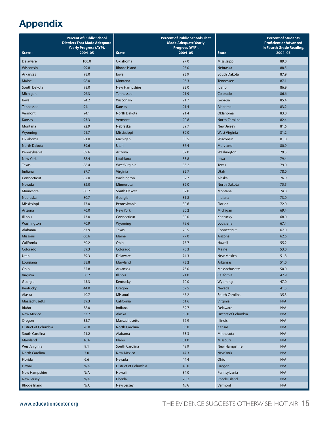## **Appendix**

|                             | <b>Percent of Public School</b><br><b>Districts That Made Adequate</b><br><b>Yearly Progress (AYP),</b> |                      | <b>Percent of Public Schools That</b><br><b>Made Adequate Yearly</b><br>Progress (AYP), |                       | <b>Percent of Students</b><br><b>Proficient or Advanced</b><br>in Fourth Grade Reading, |
|-----------------------------|---------------------------------------------------------------------------------------------------------|----------------------|-----------------------------------------------------------------------------------------|-----------------------|-----------------------------------------------------------------------------------------|
| <b>State</b>                | 2004-05                                                                                                 | <b>State</b>         | 2004-05                                                                                 | <b>State</b>          | $2004 - 05$                                                                             |
| Delaware                    | 100.0                                                                                                   | Oklahoma             | 97.0                                                                                    | Mississippi           | 89.0                                                                                    |
| Wisconsin                   | 99.8                                                                                                    | <b>Rhode Island</b>  | 95.0                                                                                    | Nebraska              | 88.5                                                                                    |
| Arkansas                    | 98.0                                                                                                    | lowa                 | 93.9                                                                                    | South Dakota          | 87.9                                                                                    |
| Maine                       | 98.0                                                                                                    | Montana              | 93.3                                                                                    | <b>Tennessee</b>      | 87.1                                                                                    |
| South Dakota                | 98.0                                                                                                    | New Hampshire        | 92.0                                                                                    | Idaho                 | 86.9                                                                                    |
| Michigan                    | 96.3                                                                                                    | <b>Tennessee</b>     | 91.9                                                                                    | Colorado              | 86.6                                                                                    |
| lowa                        | 94.2                                                                                                    | Wisconsin            | 91.7                                                                                    | Georgia               | 85.4                                                                                    |
| <b>Tennessee</b>            | 94.1                                                                                                    | Kansas               | 91.4                                                                                    | Alabama               | 83.2                                                                                    |
| Vermont                     | 94.1                                                                                                    | North Dakota         | 91.4                                                                                    | Oklahoma              | 83.0                                                                                    |
| Kansas                      | 93.3                                                                                                    | Vermont              | 90.8                                                                                    | <b>North Carolina</b> | 82.4                                                                                    |
| Montana                     | 92.9                                                                                                    | Nebraska             | 89.7                                                                                    | New Jersey            | 81.6                                                                                    |
| Wyoming                     | 91.7                                                                                                    | Mississippi          | 89.0                                                                                    | <b>West Virginia</b>  | 81.2                                                                                    |
| Oklahoma                    | 91.0                                                                                                    | Michigan             | 88.5                                                                                    | Wisconsin             | 81.0                                                                                    |
| <b>North Dakota</b>         | 89.6                                                                                                    | Utah                 | 87.4                                                                                    | Maryland              | 80.9                                                                                    |
| Pennsylvania                | 89.6                                                                                                    | Arizona              | 87.0                                                                                    | Washington            | 79.5                                                                                    |
| <b>New York</b>             | 88.4                                                                                                    | Louisiana            | 83.8                                                                                    | lowa                  | 79.4                                                                                    |
| <b>Texas</b>                | 88.4                                                                                                    | <b>West Virginia</b> | 83.2                                                                                    | <b>Texas</b>          | 79.0                                                                                    |
| Indiana                     | 87.7                                                                                                    | Virginia             | 82.7                                                                                    | Utah                  | 78.0                                                                                    |
| Connecticut                 | 82.0                                                                                                    | Washington           | 82.7                                                                                    | Alaska                | 76.9                                                                                    |
| Nevada                      | 82.0                                                                                                    | Minnesota            | 82.0                                                                                    | North Dakota          | 75.5                                                                                    |
| Minnesota                   | 80.7                                                                                                    | South Dakota         | 82.0                                                                                    | Montana               | 74.8                                                                                    |
| Nebraska                    | 80.7                                                                                                    | Georgia              | 81.8                                                                                    | Indiana               | 73.0                                                                                    |
| Mississippi                 | 77.0                                                                                                    | Pennsylvania         | 80.6                                                                                    | Florida               | 72.0                                                                                    |
| Arizona                     | 76.0                                                                                                    | <b>New York</b>      | 80.2                                                                                    | Michigan              | 69.4                                                                                    |
| <b>Illinois</b>             | 73.0                                                                                                    | Connecticut          | 80.0                                                                                    | Kentucky              | 68.0                                                                                    |
| Washington                  | 70.9                                                                                                    | Wyoming              | 79.6                                                                                    | Louisiana             | 67.4                                                                                    |
| Alabama                     | 67.9                                                                                                    | <b>Texas</b>         | 78.5                                                                                    | Connecticut           | 67.0                                                                                    |
| Missouri                    | 60.6                                                                                                    | Maine                | 77.0                                                                                    | Arizona               | 62.6                                                                                    |
| California                  | 60.2                                                                                                    | Ohio                 | 75.7                                                                                    | Hawaii                | 55.2                                                                                    |
| Colorado                    | 59.3                                                                                                    | Colorado             | 75.3                                                                                    | Maine                 | 53.0                                                                                    |
| Utah                        | 59.3                                                                                                    | Delaware             | 74.3                                                                                    | <b>New Mexico</b>     | 51.8                                                                                    |
| Louisiana                   | 58.8                                                                                                    | Maryland             | 73.2                                                                                    | Arkansas              | 51.0                                                                                    |
| Ohio                        | 55.8                                                                                                    | Arkansas             | 73.0                                                                                    | Massachusetts         | 50.0                                                                                    |
| Virginia                    | 50.7                                                                                                    | Illinois             | 71.0                                                                                    | California            | 47.9                                                                                    |
| Georgia                     | 45.3                                                                                                    | Kentucky             | 70.0                                                                                    | Wyoming               | 47.0                                                                                    |
| Kentucky                    | 44.0                                                                                                    | Oregon               | 67.5                                                                                    | Nevada                | 41.5                                                                                    |
| Alaska                      | 40.7                                                                                                    | Missouri             | 65.2                                                                                    | South Carolina        | 35.3                                                                                    |
| Massachusetts               | 39.3                                                                                                    | California           | 61.6                                                                                    | Virginia              | N/A                                                                                     |
| Idaho                       | 38.0                                                                                                    | Indiana              | 59.7                                                                                    | Delaware              | N/A                                                                                     |
| <b>New Mexico</b>           | 33.7                                                                                                    | Alaska               | 59.0                                                                                    | District of Columbia  | N/A                                                                                     |
| Oregon                      | 33.7                                                                                                    | Massachusetts        | 56.9                                                                                    | <b>Illinois</b>       | N/A                                                                                     |
| <b>District of Columbia</b> | 28.0                                                                                                    | North Carolina       | 56.8                                                                                    | Kansas                | N/A                                                                                     |
| South Carolina              | 21.2                                                                                                    | Alabama              | 53.3                                                                                    | Minnesota             | N/A                                                                                     |
| Maryland                    | 16.6                                                                                                    | Idaho                | 51.0                                                                                    | Missouri              | N/A                                                                                     |
| <b>West Virginia</b>        | 9.1                                                                                                     | South Carolina       | 49.9                                                                                    | New Hampshire         | N/A                                                                                     |
| North Carolina              | 7.0                                                                                                     | <b>New Mexico</b>    | 47.3                                                                                    | <b>New York</b>       | N/A                                                                                     |
| Florida                     | 6.6                                                                                                     | Nevada               | 44.4                                                                                    | Ohio                  | N/A                                                                                     |
| Hawaii                      | N/A                                                                                                     | District of Columbia | 40.0                                                                                    | Oregon                | N/A                                                                                     |
| New Hampshire               | N/A                                                                                                     | Hawaii               | 34.0                                                                                    | Pennsylvania          | N/A                                                                                     |
| New Jersey                  | N/A                                                                                                     | Florida              | 28.2                                                                                    | Rhode Island          | N/A                                                                                     |
| Rhode Island                | N/A                                                                                                     | New Jersey           | N/A                                                                                     | Vermont               | N/A                                                                                     |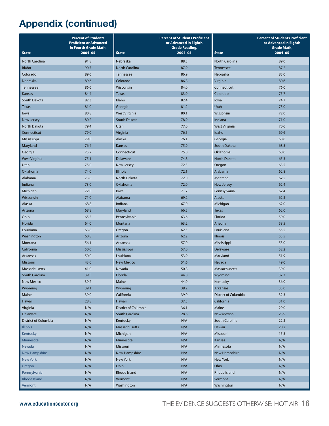|                      | <b>Percent of Students</b><br><b>Proficient or Advanced</b><br>in Fourth Grade Math, |                       | <b>Percent of Students Proficient</b><br>or Advanced in Eighth<br><b>Grade Reading,</b> |                      | <b>Percent of Students Proficient</b><br>or Advanced in Eighth<br><b>Grade Math,</b> |
|----------------------|--------------------------------------------------------------------------------------|-----------------------|-----------------------------------------------------------------------------------------|----------------------|--------------------------------------------------------------------------------------|
| <b>State</b>         | $2004 - 05$                                                                          | <b>State</b>          | $2004 - 05$                                                                             | <b>State</b>         | $2004 - 05$                                                                          |
| North Carolina       | 91.8                                                                                 | Nebraska              | 88.3                                                                                    | North Carolina       | 89.0                                                                                 |
| Idaho                | 90.5                                                                                 | <b>North Carolina</b> | 87.9                                                                                    | <b>Tennessee</b>     | 87.2                                                                                 |
| Colorado             | 89.6                                                                                 | Tennessee             | 86.9                                                                                    | Nebraska             | 85.0                                                                                 |
| Nebraska             | 89.6                                                                                 | Colorado              | 86.8                                                                                    | Virginia             | 80.6                                                                                 |
| <b>Tennessee</b>     | 86.6                                                                                 | Wisconsin             | 84.0                                                                                    | Connecticut          | 76.0                                                                                 |
| Kansas               | 84.4                                                                                 | <b>Texas</b>          | 83.0                                                                                    | Colorado             | 75.7                                                                                 |
| South Dakota         | 82.3                                                                                 | Idaho                 | 82.4                                                                                    | lowa                 | 74.7                                                                                 |
| Texas                | 81.0                                                                                 | Georgia               | 81.2                                                                                    | Utah                 | 73.0                                                                                 |
| lowa                 | 80.8                                                                                 | <b>West Virginia</b>  | 80.1                                                                                    | Wisconsin            | 72.0                                                                                 |
| <b>New Jersey</b>    | 80.2                                                                                 | South Dakota          | 78.9                                                                                    | Indiana              | 71.0                                                                                 |
| North Dakota         | 79.4                                                                                 | Utah                  | 77.0                                                                                    | <b>West Virginia</b> | 70.6                                                                                 |
| Connecticut          | 79.0                                                                                 | Virginia              | 76.5                                                                                    | Idaho                | 69.6                                                                                 |
| Mississippi          | 79.0                                                                                 | Alaska                | 76.1                                                                                    | Georgia              | 68.8                                                                                 |
| Maryland             | 76.4                                                                                 | Kansas                | 75.9                                                                                    | South Dakota         | 68.5                                                                                 |
| Georgia              | 75.2                                                                                 | Connecticut           | 75.0                                                                                    | Oklahoma             | 68.0                                                                                 |
| <b>West Virginia</b> | 75.1                                                                                 | Delaware              | 74.8                                                                                    | <b>North Dakota</b>  | 65.3                                                                                 |
| Utah                 | 75.0                                                                                 | New Jersey            | 72.3                                                                                    | Oregon               | 63.5                                                                                 |
| Oklahoma             | 74.0                                                                                 | <b>Illinois</b>       | 72.1                                                                                    | Alabama              | 62.8                                                                                 |
| Alabama              | 73.8                                                                                 | <b>North Dakota</b>   | 72.0                                                                                    | Montana              | 62.5                                                                                 |
| Indiana              | 73.0                                                                                 | Oklahoma              | 72.0                                                                                    | <b>New Jersey</b>    | 62.4                                                                                 |
| Michigan             | 72.0                                                                                 | lowa                  | 71.7                                                                                    | Pennsylvania         | 62.4                                                                                 |
| Wisconsin            | 71.0                                                                                 | Alabama               | 69.2                                                                                    | Alaska               | 62.3                                                                                 |
| Alaska               | 68.8                                                                                 | Indiana               | 67.0                                                                                    | Michigan             | 62.0                                                                                 |
| Arizona              | 68.8                                                                                 | Maryland              | 66.5                                                                                    | <b>Texas</b>         | 62.0                                                                                 |
| Ohio                 | 65.5                                                                                 | Pennsylvania          | 63.6                                                                                    | Florida              | 59.0                                                                                 |
| Florida              | 64.0                                                                                 | Montana               | 63.2                                                                                    | Arizona              | 58.5                                                                                 |
| Louisiana            | 63.8                                                                                 | Oregon                | 62.5                                                                                    | Louisiana            | 55.5                                                                                 |
| Washington           | 60.8                                                                                 | Arizona               | 62.2                                                                                    | <b>Illinois</b>      | 53.5                                                                                 |
| Montana              | 56.1                                                                                 | Arkansas              | 57.0                                                                                    | Mississippi          | 53.0                                                                                 |
| California           | 50.6                                                                                 | Mississippi           | 57.0                                                                                    | Delaware             | 52.2                                                                                 |
| Arkansas             | 50.0                                                                                 | Louisiana             | 53.9                                                                                    | Maryland             | 51.9                                                                                 |
| Missouri             | 43.0                                                                                 | <b>New Mexico</b>     | 51.6                                                                                    | Nevada               | 49.0                                                                                 |
| Massachusetts        | 41.0                                                                                 | Nevada                | 50.8                                                                                    | Massachusetts        | 39.0                                                                                 |
| South Carolina       | 39.5                                                                                 | Florida               | 44.0                                                                                    | Wyoming              | 37.3                                                                                 |
| <b>New Mexico</b>    | 39.2                                                                                 | Maine                 | 44.0                                                                                    | Kentucky             | 36.0                                                                                 |
| Wyoming              | 39.1                                                                                 | Wyoming               | 39.2                                                                                    | Arkansas             | 33.0                                                                                 |
| Maine                | 39.0                                                                                 | California            | 39.0                                                                                    | District of Columbia | 32.3                                                                                 |
| Hawaii               | 28.8                                                                                 | Hawaii                | 37.5                                                                                    | California           | 31.0                                                                                 |
| Virginia             | N/A                                                                                  | District of Columbia  | 36.1                                                                                    | Maine                | 29.0                                                                                 |
| Delaware             | N/A                                                                                  | South Carolina        | 28.6                                                                                    | <b>New Mexico</b>    | 23.9                                                                                 |
| District of Columbia | N/A                                                                                  | Kentucky              | N/A                                                                                     | South Carolina       | 22.3                                                                                 |
| <b>Illinois</b>      | N/A                                                                                  | Massachusetts         | N/A                                                                                     | Hawaii               | 20.2                                                                                 |
| Kentucky             | N/A                                                                                  | Michigan              | N/A                                                                                     | Missouri             | 15.5                                                                                 |
| Minnesota            | N/A                                                                                  | Minnesota             | N/A                                                                                     | Kansas               | N/A                                                                                  |
| Nevada               | N/A                                                                                  | Missouri              | N/A                                                                                     | Minnesota            | N/A                                                                                  |
| <b>New Hampshire</b> | N/A                                                                                  | New Hampshire         | N/A                                                                                     | <b>New Hampshire</b> | N/A                                                                                  |
| <b>New York</b>      | N/A                                                                                  | New York              | N/A                                                                                     | New York             | N/A                                                                                  |
| Oregon               | N/A                                                                                  | Ohio                  | N/A                                                                                     | Ohio                 | N/A                                                                                  |
| Pennsylvania         | N/A                                                                                  | Rhode Island          | N/A                                                                                     | Rhode Island         | N/A                                                                                  |
| <b>Rhode Island</b>  | N/A                                                                                  | Vermont               | N/A                                                                                     | Vermont              | N/A                                                                                  |
| Vermont              | N/A                                                                                  | Washington            | N/A                                                                                     | Washington           | N/A                                                                                  |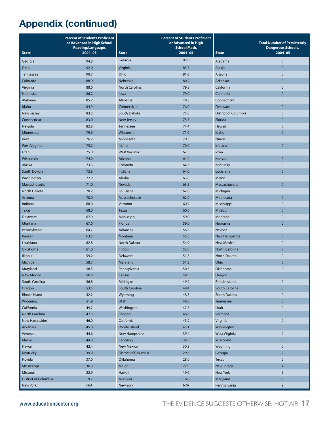|                      | <b>Percent of Students Proficient</b><br>or Advanced in High School<br>Reading/Language, |                      | <b>Percent of Students Proficient</b><br>or Advanced in High<br><b>School Math,</b> |                             | <b>Total Number of Persistently</b><br><b>Dangerous Schools,</b> |
|----------------------|------------------------------------------------------------------------------------------|----------------------|-------------------------------------------------------------------------------------|-----------------------------|------------------------------------------------------------------|
| <b>State</b>         | $2004 - 05$                                                                              | <b>State</b>         | 2004-05                                                                             | <b>State</b>                | 2004-05                                                          |
| Georgia              | 94.8                                                                                     | Georgia              | 92.0                                                                                | Alabama                     | $\mathbf 0$                                                      |
| Ohio                 | 92.0                                                                                     | Virginia             | 85.7                                                                                | Alaska                      | 0                                                                |
| Tennessee            | 90.7                                                                                     | Ohio                 | 81.6                                                                                | Arizona                     | $\mathbf 0$                                                      |
| Colorado             | 88.9                                                                                     | Nebraska             | 80.2                                                                                | Arkansas                    | $\mathbf 0$                                                      |
| Virginia             | 88.0                                                                                     | North Carolina       | 79.8                                                                                | California                  | $\mathbf 0$                                                      |
| Nebraska             | 86.2                                                                                     | lowa                 | 79.0                                                                                | Colorado                    | $\mathbf 0$                                                      |
| Alabama              | 85.7                                                                                     | Alabama              | 78.3                                                                                | Connecticut                 | $\mathbf 0$                                                      |
| Idaho                | 84.9                                                                                     | Connecticut          | 76.0                                                                                | Delaware                    | $\mathbf 0$                                                      |
| New Jersey           | 83.2                                                                                     | South Dakota         | 75.5                                                                                | <b>District of Columbia</b> | $\mathbf 0$                                                      |
| Connecticut          | 83.0                                                                                     | <b>New Jersey</b>    | 75.5                                                                                | Florida                     | $\mathbf 0$                                                      |
| Nevada               | 82.8                                                                                     | Tennessee            | 74.4                                                                                | Hawaii                      | $\mathbf 0$                                                      |
| Minnesota            | 79.9                                                                                     | Wisconsin            | 71.0                                                                                | Idaho                       | $\mathbf 0$                                                      |
| lowa                 | 76.2                                                                                     | Minnesota            | 70.3                                                                                | <b>Illinois</b>             | $\mathbf 0$                                                      |
| <b>West Virginia</b> | 75.2                                                                                     | Idaho                | 70.0                                                                                | Indiana                     | $\mathbf 0$                                                      |
| Utah                 | 75.0                                                                                     | <b>West Virginia</b> | 67.5                                                                                | lowa                        | $\mathbf 0$                                                      |
| Wisconsin            | 74.0                                                                                     | Arizona              | 64.4                                                                                | Kansas                      | $\mathbf 0$                                                      |
| Alaska               | 73.3                                                                                     | Colorado             | 64.3                                                                                | Kentucky                    | $\mathbf 0$                                                      |
| South Dakota         | 73.3                                                                                     | Indiana              | 64.0                                                                                | Louisiana                   | $\mathbf 0$                                                      |
| Washington           | 72.9                                                                                     | Alaska               | 63.8                                                                                | Maine                       | $\mathbf 0$                                                      |
| Massachusetts        | 71.0                                                                                     | Nevada               | 63.5                                                                                | <b>Massachusetts</b>        | $\mathbf 0$                                                      |
| <b>North Dakota</b>  | 70.2                                                                                     | Louisiana            | 62.8                                                                                | Michigan                    | $\overline{0}$                                                   |
| Arizona              | 70.0                                                                                     | Massachusetts        | 62.0                                                                                | Minnesota                   | $\overline{0}$                                                   |
| Indiana              | 68.0                                                                                     | Vermont              | 60.7                                                                                | Mississippi                 | $\overline{0}$                                                   |
| <b>Texas</b>         | 68.0                                                                                     | <b>Texas</b>         | 60.0                                                                                | Missouri                    | $\bf{0}$                                                         |
| Delaware             | 67.9                                                                                     | Mississippi          | 59.0                                                                                | Montana                     | $\mathbf 0$                                                      |
| Montana              | 67.0                                                                                     | Florida              | 59.0                                                                                | Nebraska                    | $\bf{0}$                                                         |
| Pennsylvania         | 64.7                                                                                     | Arkansas             | 56.5                                                                                | Nevada                      | $\mathbf 0$                                                      |
| Kansas               | 63.2                                                                                     | Montana              | 55.5                                                                                | New Hampshire               | $\mathbf 0$                                                      |
| Louisiana            | 62.8                                                                                     | North Dakota         | 54.9                                                                                | <b>New Mexico</b>           | $\mathbf 0$                                                      |
| Oklahoma             | 61.0                                                                                     | <b>Illinois</b>      | 52.0                                                                                | <b>North Carolina</b>       | 0                                                                |
| Illinois             | 59.2                                                                                     | Delaware             | 51.5                                                                                | North Dakota                | $\mathbf 0$                                                      |
| Michigan             | 58.7                                                                                     | Maryland             | 51.2                                                                                | Ohio                        | $\bf{0}$                                                         |
| Maryland             | 58.5                                                                                     | Pennsylvania         | 50.5                                                                                | Oklahoma                    | 0                                                                |
| <b>New Mexico</b>    | 56.8                                                                                     | Kansas               | 50.5                                                                                | Oregon                      | $\Omega$                                                         |
| South Carolina       | 56.8                                                                                     | Michigan             | 49.2                                                                                | Rhode Island                | $\pmb{0}$                                                        |
| Oregon               | 53.5                                                                                     | South Carolina       | 48.4                                                                                | South Carolina              | $\mathbf 0$                                                      |
| Rhode Island         | 52.2                                                                                     | Wyoming              | 48.3                                                                                | South Dakota                | $\mathbf 0$                                                      |
| Wyoming              | 51.9                                                                                     | Utah                 | 48.0                                                                                | Tennessee                   | $\mathbf 0$                                                      |
| California           | 49.2                                                                                     | Washington           | 47.5                                                                                | Utah                        | $\pmb{0}$                                                        |
| North Carolina       | 47.3                                                                                     | Oregon               | 46.6                                                                                | Vermont                     | $\mathbf 0$                                                      |
| New Hampshire        | 46.0                                                                                     | California           | 45.2                                                                                | Virginia                    | $\pmb{0}$                                                        |
| Arkansas             | 45.0                                                                                     | Rhode Island         | 45.1                                                                                | Washington                  | $\mathbf 0$                                                      |
| Vermont              | 44.6                                                                                     | New Hampshire        | 39.4                                                                                | <b>West Virginia</b>        | $\mathbf 0$                                                      |
| Maine                | 44.0                                                                                     | Kentucky             | 34.0                                                                                | Wisconsin                   | $\pmb{0}$                                                        |
| Hawaii               | 42.4                                                                                     | <b>New Mexico</b>    | 30.3                                                                                | Wyoming                     | $\mathbf 0$                                                      |
| Kentucky             | 39.0                                                                                     | District of Columbia | 29.3                                                                                | Georgia                     | $\overline{2}$                                                   |
| Florida              | 37.0                                                                                     | Oklahoma             | 28.0                                                                                | <b>Texas</b>                | $\overline{2}$                                                   |
| Mississippi          | 36.0                                                                                     | Maine                | 22.0                                                                                | New Jersey                  | $\overline{\mathbf{4}}$                                          |
| Missouri             | 22.9                                                                                     | Hawaii               | 19.6                                                                                | New York                    | 5                                                                |
| District of Columbia | 19.7                                                                                     | Missouri             | 16.6                                                                                | Maryland                    | $\boldsymbol{6}$                                                 |
| New York             | N/A                                                                                      | New York             | N/A                                                                                 | Pennsylvania                | 9                                                                |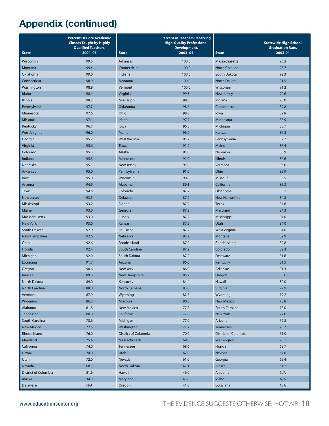|                      | <b>Percent Of Core Academic</b><br><b>Classes Taught by Highly</b><br><b>Qualified Teachers,</b> |                      | <b>Percent of Teachers Receiving</b><br><b>High-Quality Professional</b><br>Development, |                       | <b>Statewide High School</b><br><b>Graduation Rate,</b> |
|----------------------|--------------------------------------------------------------------------------------------------|----------------------|------------------------------------------------------------------------------------------|-----------------------|---------------------------------------------------------|
| <b>State</b>         | $2004 - 05$                                                                                      | <b>State</b>         | 2003-04                                                                                  | <b>State</b>          | 2003-04                                                 |
| Wisconsin            | 99.5                                                                                             | Arkansas             | 100.0                                                                                    | Massachusetts         | 96.2                                                    |
| Montana              | 99.4                                                                                             | Connecticut          | 100.0                                                                                    | <b>North Carolina</b> | 95.7                                                    |
| Oklahoma             | 99.0                                                                                             | Indiana              | 100.0                                                                                    | South Dakota          | 92.3                                                    |
| Connecticut          | 98.9                                                                                             | Montana              | 100.0                                                                                    | <b>North Dakota</b>   | 91.5                                                    |
| Washington           | 98.9                                                                                             | Vermont              | 100.0                                                                                    | Wisconsin             | 91.2                                                    |
| Idaho                | 98.4                                                                                             | Virginia             | 99.3                                                                                     | <b>New Jersey</b>     | 90.6                                                    |
| <b>Illinois</b>      | 98.2                                                                                             | Mississippi          | 99.0                                                                                     | Indiana               | 90.0                                                    |
| Pennsylvania         | 97.7                                                                                             | <b>Oklahoma</b>      | 98.6                                                                                     | Connecticut           | 89.8                                                    |
| Minnesota            | 97.6                                                                                             | Ohio                 | 98.0                                                                                     | lowa                  | 89.8                                                    |
| Missouri             | 97.1                                                                                             | Idaho                | 97.7                                                                                     | Minnesota             | 88.9                                                    |
| Kentucky             | 96.7                                                                                             | lowa                 | 96.8                                                                                     | Michigan              | 88.7                                                    |
| <b>West Virginia</b> | 96.0                                                                                             | Maine                | 96.0                                                                                     | Kansas                | 87.8                                                    |
| Georgia              | 95.7                                                                                             | <b>West Virginia</b> | 91.7                                                                                     | Pennsylvania          | 87.7                                                    |
| Virginia             | 95.6                                                                                             | Texas                | 91.2                                                                                     | Maine                 | 87.4                                                    |
| Colorado             | 95.3                                                                                             | Alaska               | 91.0                                                                                     | Nebraska              | 86.9                                                    |
| Indiana              | 95.3                                                                                             | Minnesota            | 91.0                                                                                     | <b>Illinois</b>       | 86.6                                                    |
| Nebraska             | 95.1                                                                                             | New Jersey           | 91.0                                                                                     | Vermont               | 86.0                                                    |
| <b>Arkansas</b>      | 95.0                                                                                             | Pennsylvania         | 91.0                                                                                     | Ohio                  | 85.9                                                    |
| lowa                 | 95.0                                                                                             | Wisconsin            | 90.8                                                                                     | Missouri              | 85.5                                                    |
| Arizona              | 94.9                                                                                             | Alabama              | 89.1                                                                                     | California            | 85.3                                                    |
| <b>Texas</b>         | 94.6                                                                                             | Colorado             | 87.2                                                                                     | Oklahoma              | 85.1                                                    |
| <b>New Jersey</b>    | 93.5                                                                                             | Delaware             | 87.2                                                                                     | <b>New Hampshire</b>  | 84.8                                                    |
| Mississippi          | 93.2                                                                                             | Florida              | 87.2                                                                                     | <b>Texas</b>          | 84.6                                                    |
| Maine                | 93.0                                                                                             | Georgia              | 87.2                                                                                     | Maryland              | 84.3                                                    |
| Massachusetts        | 93.0                                                                                             | <b>Illinois</b>      | 87.2                                                                                     | Mississippi           | 84.0                                                    |
| <b>New York</b>      | 93.0                                                                                             | Kansas               | 87.2                                                                                     | Utah                  | 84.0                                                    |
| South Dakota         | 92.9                                                                                             | Louisiana            | 87.2                                                                                     | West Virginia         | 84.0                                                    |
| New Hampshire        | 92.6                                                                                             | Nebraska             | 87.2                                                                                     | Montana               | 82.9                                                    |
| Ohio                 | 92.6                                                                                             | Rhode Island         | 87.2                                                                                     | Rhode Island          | 82.8                                                    |
| Florida              | 92.4                                                                                             | South Carolina       | 87.2                                                                                     | Colorado              | 82.3                                                    |
| Michigan             | 92.0                                                                                             | South Dakota         | 87.2                                                                                     | Delaware              | 81.6                                                    |
| Louisiana            | 91.7                                                                                             | Arizona              | 86.0                                                                                     | Kentucky              | 81.5                                                    |
| Oregon               | 90.6                                                                                             | <b>New York</b>      | 86.0                                                                                     | Arkansas              | 81.3                                                    |
| Kansas               | 89.3                                                                                             | New Hampshire        | 85.2                                                                                     | Oregon                | 80.6                                                    |
| North Dakota         | 89.0                                                                                             | Kentucky             | 84.4                                                                                     | Hawaii                | 80.0                                                    |
| North Carolina       | 88.0                                                                                             | North Carolina       | 83.0                                                                                     | Virginia              | 79.9                                                    |
| Vermont              | 87.9                                                                                             | Wyoming              | 82.7                                                                                     | Wyoming               | 79.2                                                    |
| Wyoming              | 86.3                                                                                             | Missouri             | 80.0                                                                                     | <b>New Mexico</b>     | 78.8                                                    |
| Alabama              | 81.8                                                                                             | <b>New Mexico</b>    | 77.8                                                                                     | South Carolina        | 78.0                                                    |
| Tennessee            | 80.9                                                                                             | California           | 77.0                                                                                     | <b>New York</b>       | 77.0                                                    |
| South Carolina       | 78.6                                                                                             | Michigan             | 77.0                                                                                     | Arizona               | 76.8                                                    |
| <b>New Mexico</b>    | 77.5                                                                                             | Washington           | 71.7                                                                                     | <b>Tennessee</b>      | 75.7                                                    |
| Rhode Island         | 76.0                                                                                             | District of Colubmia | 70.0                                                                                     | District of Columbia  | 71.9                                                    |
| Maryland             | 75.4                                                                                             | Massachusetts        | 69.6                                                                                     | Washington            | 70.1                                                    |
| California           | 74.0                                                                                             | <b>Tennessee</b>     | 68.6                                                                                     | Florida               | 68.7                                                    |
| Hawaii               | 74.0                                                                                             | Utah                 | 67.0                                                                                     | Nevada                | 67.0                                                    |
| Utah                 | 72.0                                                                                             | Nevada               | 61.0                                                                                     | Georgia               | 65.4                                                    |
| Nevada               | 68.1                                                                                             | North Dakota         | 47.1                                                                                     | Alaska                | 61.2                                                    |
| District of Columbia | 51.6                                                                                             | Hawaii               | 46.0                                                                                     | Alabama               | N/A                                                     |
| Alaska               | 34.3                                                                                             | Maryland             | 43.0                                                                                     | Idaho                 | N/A                                                     |
| Delaware             | N/A                                                                                              | Oregon               | 41.0                                                                                     | Louisiana             | N/A                                                     |